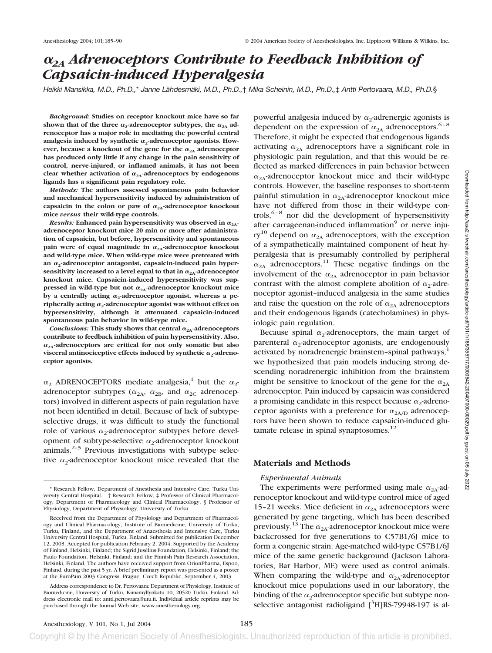# *2A Adrenoceptors Contribute to Feedback Inhibition of Capsaicin-induced Hyperalgesia*

*Heikki Mansikka, M.D., Ph.D.,*\* *Janne Lähdesmäki, M.D., Ph.D.,*† *Mika Scheinin, M.D., Ph.D.,*‡ *Antti Pertovaara, M.D., Ph.D.*§

*Background:* **Studies on receptor knockout mice have so far** shown that of the three  $\alpha_2$ -adrenoceptor subtypes, the  $\alpha_{2A}$  ad**renoceptor has a major role in mediating the powerful central** analgesia induced by synthetic  $\alpha_2$ -adrenoceptor agonists. How**ever, because a knockout of the gene for the**  $\alpha_{2A}$  **adrenoceptor has produced only little if any change in the pain sensitivity of control, nerve-injured, or inflamed animals, it has not been** clear whether activation of  $\alpha_{2A}$ -adrenoceptors by endogenous **ligands has a significant pain regulatory role.**

*Methods:* **The authors assessed spontaneous pain behavior and mechanical hypersensitivity induced by administration of** capsaicin in the colon or paw of  $\alpha_{2A}$ -adrenoceptor knockout **mice** *versus* **their wild-type controls.**

*Results:* Enhanced pain hypersensitivity was observed in  $\alpha_{24}$ . **adrenoceptor knockout mice 20 min or more after administration of capsaicin, but before, hypersensitivity and spontaneous** pain were of equal magnitude in  $\alpha_{2A}$ -adrenoceptor knockout **and wild-type mice. When wild-type mice were pretreated with** an  $\alpha_2$ -adrenoceptor antagonist, capsaicin-induced pain hypersensitivity increased to a level equal to that in  $\alpha_{2A}$ -adrenoceptor **knockout mice. Capsaicin-induced hypersensitivity was sup**pressed in wild-type but not  $\alpha_{2A}$ -adrenoceptor knockout mice by a centrally acting  $\alpha_2$ -adrenoceptor agonist, whereas a peripherally acting  $\alpha_2$ -adrenoceptor agonist was without effect on **hypersensitivity, although it attenuated capsaicin-induced spontaneous pain behavior in wild-type mice.**

*Conclusions:* This study shows that central  $\alpha_{2A}$ -adrenoceptors **contribute to feedback inhibition of pain hypersensitivity. Also,**  $\alpha_{2A}$ -adrenoceptors are critical for not only somatic but also visceral antinociceptive effects induced by synthetic  $\alpha_2$ -adreno**ceptor agonists.**

 $\alpha_2$  ADRENOCEPTORS mediate analgesia,<sup>1</sup> but the  $\alpha_2$ adrenoceptor subtypes ( $\alpha_{2A}$ ,  $\alpha_{2B}$ , and  $\alpha_{2C}$  adrenoceptors) involved in different aspects of pain regulation have not been identified in detail. Because of lack of subtypeselective drugs, it was difficult to study the functional role of various  $\alpha_2$ -adrenoceptor subtypes before development of subtype-selective  $\alpha_2$ -adrenoceptor knockout animals. $2-5$  Previous investigations with subtype selective  $\alpha_2$ -adrenoceptor knockout mice revealed that the powerful analgesia induced by  $\alpha_2$ -adrenergic agonists is dependent on the expression of  $\alpha_{2A}$  adrenoceptors.<sup>6–8</sup> Therefore, it might be expected that endogenous ligands activating  $\alpha_{2A}$  adrenoceptors have a significant role in physiologic pain regulation, and that this would be reflected as marked differences in pain behavior between  $\alpha_{2A}$ -adrenoceptor knockout mice and their wild-type controls. However, the baseline responses to short-term painful stimulation in  $\alpha_{2A}$ -adrenoceptor knockout mice have not differed from those in their wild-type controls,  $6-8$  nor did the development of hypersensitivity after carrageenan-induced inflammation<sup>9</sup> or nerve injury<sup>10</sup> depend on  $\alpha_{2A}$  adrenoceptors, with the exception of a sympathetically maintained component of heat hyperalgesia that is presumably controlled by peripheral  $\alpha_{2A}$  adrenoceptors.<sup>11</sup> These negative findings on the involvement of the  $\alpha_{2A}$  adrenoceptor in pain behavior contrast with the almost complete abolition of  $\alpha_2$ -adrenoceptor agonist–induced analgesia in the same studies and raise the question on the role of  $\alpha_{2A}$  adrenoceptors and their endogenous ligands (catecholamines) in physiologic pain regulation.

Because spinal  $\alpha_2$ -adrenoceptors, the main target of parenteral  $\alpha_2$ -adrenoceptor agonists, are endogenously activated by noradrenergic brainstem-spinal pathways, $<sup>1</sup>$ </sup> we hypothesized that pain models inducing strong descending noradrenergic inhibition from the brainstem might be sensitive to knockout of the gene for the  $\alpha_{2A}$ adrenoceptor. Pain induced by capsaicin was considered a promising candidate in this respect because  $\alpha_2$ -adrenoceptor agonists with a preference for  $\alpha_{2A/D}$  adrenoceptors have been shown to reduce capsaicin-induced glutamate release in spinal synaptosomes.<sup>12</sup>

# **Materials and Methods**

# *Experimental Animals*

The experiments were performed using male  $\alpha_{2A}$ -adrenoceptor knockout and wild-type control mice of aged 15–21 weeks. Mice deficient in  $\alpha_{2A}$  adrenoceptors were generated by gene targeting, which has been described previously.<sup>13</sup> The  $\alpha_{2A}$ -adrenoceptor knockout mice were backcrossed for five generations to C57B1/6J mice to form a congenic strain. Age-matched wild-type C57B1/6J mice of the same genetic background (Jackson Laboratories, Bar Harbor, ME) were used as control animals. When comparing the wild-type and  $\alpha_{2A}$ -adrenoceptor knockout mice populations used in our laboratory, the binding of the  $\alpha_2$ -adrenoceptor specific but subtype nonselective antagonist radioligand [<sup>3</sup>H]RS-79948-197 is al-

<sup>\*</sup> Research Fellow, Department of Anesthesia and Intensive Care, Turku University Central Hospital. † Research Fellow, ‡ Professor of Clinical Pharmacology, Department of Pharmacology and Clinical Pharmacology, § Professor of Physiology, Department of Physiology, University of Turku.

Received from the Department of Physiology and Department of Pharmacology and Clinical Pharmacology, Institute of Biomedicine, University of Turku, Turku, Finland, and the Department of Anaesthesia and Intensive Care, Turku University Central Hospital, Turku, Finland. Submitted for publication December 12, 2003. Accepted for publication February 2, 2004. Supported by the Academy of Finland, Helsinki, Finland; the Sigrid Jusélius Foundation, Helsinki, Finland; the Paulo Foundation, Helsinki, Finland; and the Finnish Pain Research Association, Helsinki, Finland. The authors have received support from OrionPharma, Espoo, Finland, during the past 5 yr. A brief preliminary report was presented as a poster at the EuroPain 2003 Congress, Prague, Czech Republic, September 4, 2003.

Address correspondence to Dr. Pertovaara: Department of Physiology, Institute of Biomedicine, University of Turku, Kiinamyllynkatu 10, 20520 Turku, Finland. Address electronic mail to: antti.pertovaara@utu.fi. Individual article reprints may be purchased through the Journal Web site, www.anesthesiology.org.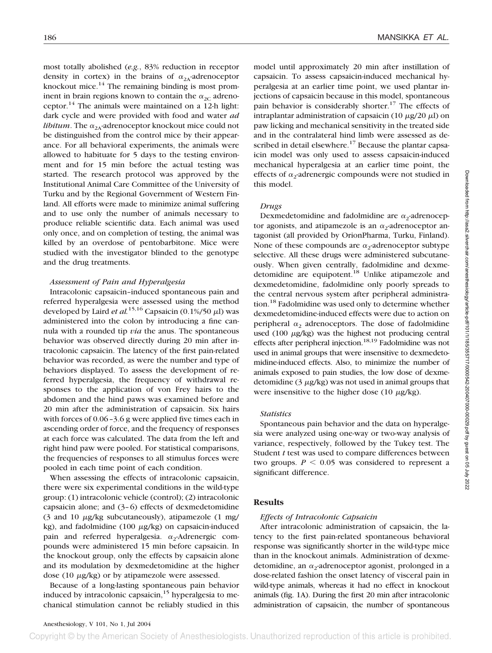most totally abolished (*e.g.*, 83% reduction in receptor density in cortex) in the brains of  $\alpha_{2A}$ -adrenoceptor knockout mice. $14$  The remaining binding is most prominent in brain regions known to contain the  $\alpha_{2C}$  adrenoceptor.<sup>14</sup> The animals were maintained on a 12-h light: dark cycle and were provided with food and water *ad libitum*. The  $\alpha_{2A}$ -adrenoceptor knockout mice could not be distinguished from the control mice by their appearance. For all behavioral experiments, the animals were allowed to habituate for 5 days to the testing environment and for 15 min before the actual testing was started. The research protocol was approved by the Institutional Animal Care Committee of the University of Turku and by the Regional Government of Western Finland. All efforts were made to minimize animal suffering and to use only the number of animals necessary to produce reliable scientific data. Each animal was used only once, and on completion of testing, the animal was killed by an overdose of pentobarbitone. Mice were studied with the investigator blinded to the genotype and the drug treatments.

#### *Assessment of Pain and Hyperalgesia*

Intracolonic capsaicin–induced spontaneous pain and referred hyperalgesia were assessed using the method developed by Laird *et al.*<sup>15,16</sup> Capsaicin  $(0.1\%/50 \mu$ l) was administered into the colon by introducing a fine cannula with a rounded tip *via* the anus. The spontaneous behavior was observed directly during 20 min after intracolonic capsaicin. The latency of the first pain-related behavior was recorded, as were the number and type of behaviors displayed. To assess the development of referred hyperalgesia, the frequency of withdrawal responses to the application of von Frey hairs to the abdomen and the hind paws was examined before and 20 min after the administration of capsaicin. Six hairs with forces of 0.06–3.6 g were applied five times each in ascending order of force, and the frequency of responses at each force was calculated. The data from the left and right hind paw were pooled. For statistical comparisons, the frequencies of responses to all stimulus forces were pooled in each time point of each condition.

When assessing the effects of intracolonic capsaicin, there were six experimental conditions in the wild-type group: (1) intracolonic vehicle (control); (2) intracolonic capsaicin alone; and (3–6) effects of dexmedetomidine  $(3 \text{ and } 10 \text{ }\mu\text{g/kg}$  subcutaneously), atipamezole  $(1 \text{ mg/m})$ kg), and fadolmidine  $(100 \mu g/kg)$  on capsaicin-induced pain and referred hyperalgesia.  $\alpha_2$ -Adrenergic compounds were administered 15 min before capsaicin. In the knockout group, only the effects by capsaicin alone and its modulation by dexmedetomidine at the higher dose  $(10 \mu g/kg)$  or by atipamezole were assessed.

Because of a long-lasting spontaneous pain behavior induced by intracolonic capsaicin, $15$  hyperalgesia to mechanical stimulation cannot be reliably studied in this model until approximately 20 min after instillation of capsaicin. To assess capsaicin-induced mechanical hyperalgesia at an earlier time point, we used plantar injections of capsaicin because in this model, spontaneous pain behavior is considerably shorter.<sup>17</sup> The effects of intraplantar administration of capsaicin (10  $\mu$ g/20  $\mu$ l) on paw licking and mechanical sensitivity in the treated side and in the contralateral hind limb were assessed as described in detail elsewhere.<sup>17</sup> Because the plantar capsaicin model was only used to assess capsaicin-induced mechanical hyperalgesia at an earlier time point, the effects of  $\alpha_2$ -adrenergic compounds were not studied in this model.

#### *Drugs*

Dexmedetomidine and fadolmidine are  $\alpha_2$ -adrenoceptor agonists, and atipamezole is an  $\alpha_2$ -adrenoceptor antagonist (all provided by OrionPharma, Turku, Finland). None of these compounds are  $\alpha_2$ -adrenoceptor subtype selective. All these drugs were administered subcutaneously. When given centrally, fadolmidine and dexmedetomidine are equipotent.<sup>18</sup> Unlike atipamezole and dexmedetomidine, fadolmidine only poorly spreads to the central nervous system after peripheral administration.<sup>18</sup> Fadolmidine was used only to determine whether dexmedetomidine-induced effects were due to action on peripheral  $\alpha_2$  adrenoceptors. The dose of fadolmidine used  $(100 \mu g/kg)$  was the highest not producing central effects after peripheral injection.<sup>18,19</sup> Fadolmidine was not used in animal groups that were insensitive to dexmedetomidine-induced effects. Also, to minimize the number of animals exposed to pain studies, the low dose of dexmedetomidine  $(3 \mu g/kg)$  was not used in animal groups that were insensitive to the higher dose (10  $\mu$ g/kg).

#### *Statistics*

Spontaneous pain behavior and the data on hyperalgesia were analyzed using one-way or two-way analysis of variance, respectively, followed by the Tukey test. The Student *t* test was used to compare differences between two groups.  $P \leq 0.05$  was considered to represent a significant difference.

## **Results**

#### *Effects of Intracolonic Capsaicin*

After intracolonic administration of capsaicin, the latency to the first pain-related spontaneous behavioral response was significantly shorter in the wild-type mice than in the knockout animals. Administration of dexmedetomidine, an  $\alpha_2$ -adrenoceptor agonist, prolonged in a dose-related fashion the onset latency of visceral pain in wild-type animals, whereas it had no effect in knockout animals (fig. 1A). During the first 20 min after intracolonic administration of capsaicin, the number of spontaneous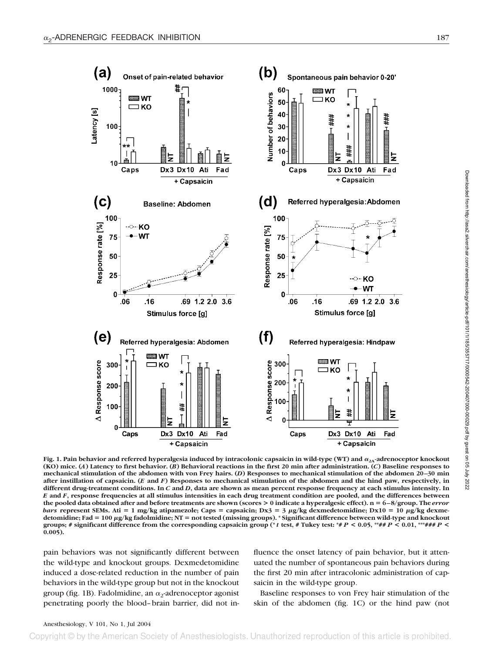

Fig. 1. Pain behavior and referred hyperalgesia induced by intracolonic capsaicin in wild-type (WT) and  $\alpha_{2\Lambda}$ -adrenoceptor knockout **(KO) mice. (***A***) Latency to first behavior. (***B***) Behavioral reactions in the first 20 min after administration. (***C***) Baseline responses to mechanical stimulation of the abdomen with von Frey hairs. (***D***) Responses to mechanical stimulation of the abdomen 20–30 min after instillation of capsaicin. (***E* **and** *F***) Responses to mechanical stimulation of the abdomen and the hind paw, respectively, in different drug-treatment conditions. In** *C* **and** *D***, data are shown as mean percent response frequency at each stimulus intensity. In** *E* **and** *F***, response frequencies at all stimulus intensities in each drug treatment condition are pooled, and the differences between the pooled data obtained after and before treatments are shown (scores > 0 indicate a hyperalgesic effect). n** - **6–8/group. The** *error* bars represent SEMs. Ati = 1 mg/kg atipamezole; Caps = capsaicin; Dx3 = 3 µg/kg dexmedetomidine; Dx10 = 10 µg/kg dexme**detomidine; Fad** - **100 g/kg fadolmidine; NT** - **not tested (missing groups). \* Significant difference between wild-type and knockout groups; # significant difference from the corresponding capsaicin group (\***  $t$  test, # Tukey test: \*#  $P$  < 0.05, \*\*##  $P$  < 0.01, \*\*\*###  $P$  < **0.005).**

pain behaviors was not significantly different between the wild-type and knockout groups. Dexmedetomidine induced a dose-related reduction in the number of pain behaviors in the wild-type group but not in the knockout group (fig. 1B). Fadolmidine, an  $\alpha_2$ -adrenoceptor agonist penetrating poorly the blood–brain barrier, did not influence the onset latency of pain behavior, but it attenuated the number of spontaneous pain behaviors during the first 20 min after intracolonic administration of capsaicin in the wild-type group.

Baseline responses to von Frey hair stimulation of the skin of the abdomen (fig. 1C) or the hind paw (not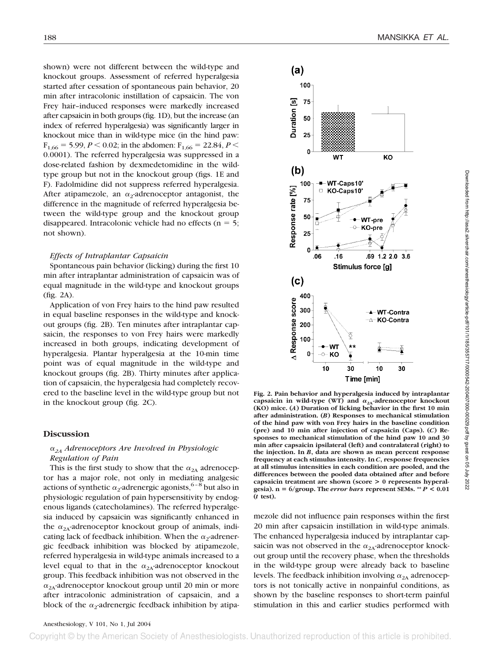shown) were not different between the wild-type and knockout groups. Assessment of referred hyperalgesia started after cessation of spontaneous pain behavior, 20 min after intracolonic instillation of capsaicin. The von Frey hair–induced responses were markedly increased after capsaicin in both groups (fig. 1D), but the increase (an index of referred hyperalgesia) was significantly larger in knockout mice than in wild-type mice (in the hind paw:  $F_{1,66} = 5.99, P \le 0.02$ ; in the abdomen:  $F_{1,66} = 22.84, P \le$ 0.0001). The referred hyperalgesia was suppressed in a dose-related fashion by dexmedetomidine in the wildtype group but not in the knockout group (figs. 1E and F). Fadolmidine did not suppress referred hyperalgesia. After atipamezole, an  $\alpha_2$ -adrenoceptor antagonist, the difference in the magnitude of referred hyperalgesia between the wild-type group and the knockout group disappeared. Intracolonic vehicle had no effects ( $n = 5$ ; not shown).

#### *Effects of Intraplantar Capsaicin*

Spontaneous pain behavior (licking) during the first 10 min after intraplantar administration of capsaicin was of equal magnitude in the wild-type and knockout groups (fig. 2A).

Application of von Frey hairs to the hind paw resulted in equal baseline responses in the wild-type and knockout groups (fig. 2B). Ten minutes after intraplantar capsaicin, the responses to von Frey hairs were markedly increased in both groups, indicating development of hyperalgesia. Plantar hyperalgesia at the 10-min time point was of equal magnitude in the wild-type and knockout groups (fig. 2B). Thirty minutes after application of capsaicin, the hyperalgesia had completely recovered to the baseline level in the wild-type group but not in the knockout group (fig. 2C).

#### **Discussion**

### *2A Adrenoceptors Are Involved in Physiologic Regulation of Pain*

This is the first study to show that the  $\alpha_{2A}$  adrenoceptor has a major role, not only in mediating analgesic actions of synthetic  $\alpha_2$ -adrenergic agonists, <sup>6–8</sup> but also in physiologic regulation of pain hypersensitivity by endogenous ligands (catecholamines). The referred hyperalgesia induced by capsaicin was significantly enhanced in the  $\alpha_{2A}$ -adrenoceptor knockout group of animals, indicating lack of feedback inhibition. When the  $\alpha_2$ -adrenergic feedback inhibition was blocked by atipamezole, referred hyperalgesia in wild-type animals increased to a level equal to that in the  $\alpha_{2A}$ -adrenoceptor knockout group. This feedback inhibition was not observed in the  $\alpha_{2A}$ -adrenoceptor knockout group until 20 min or more after intracolonic administration of capsaicin, and a block of the  $\alpha_2$ -adrenergic feedback inhibition by atipa-



**Fig. 2. Pain behavior and hyperalgesia induced by intraplantar** capsaicin in wild-type (WT) and  $\alpha_{2A}$ -adrenoceptor knockout **(KO) mice. (***A***) Duration of licking behavior in the first 10 min after administration. (***B***) Responses to mechanical stimulation of the hind paw with von Frey hairs in the baseline condition (pre) and 10 min after injection of capsaicin (Caps). (***C***) Responses to mechanical stimulation of the hind paw 10 and 30 min after capsaicin ipsilateral (left) and contralateral (right) to the injection. In** *B***, data are shown as mean percent response frequency at each stimulus intensity. In** *C***, response frequencies at all stimulus intensities in each condition are pooled, and the differences between the pooled data obtained after and before capsaicin treatment are shown (score > 0 represents hyperalgesia). n** - **6/group. The** *error bars* **represent SEMs. \*\*** *P* **< 0.01 (***t* **test).**

mezole did not influence pain responses within the first 20 min after capsaicin instillation in wild-type animals. The enhanced hyperalgesia induced by intraplantar capsaicin was not observed in the  $\alpha_{2A}$ -adrenoceptor knockout group until the recovery phase, when the thresholds in the wild-type group were already back to baseline levels. The feedback inhibition involving  $\alpha_{2A}$  adrenoceptors is not tonically active in nonpainful conditions, as shown by the baseline responses to short-term painful stimulation in this and earlier studies performed with

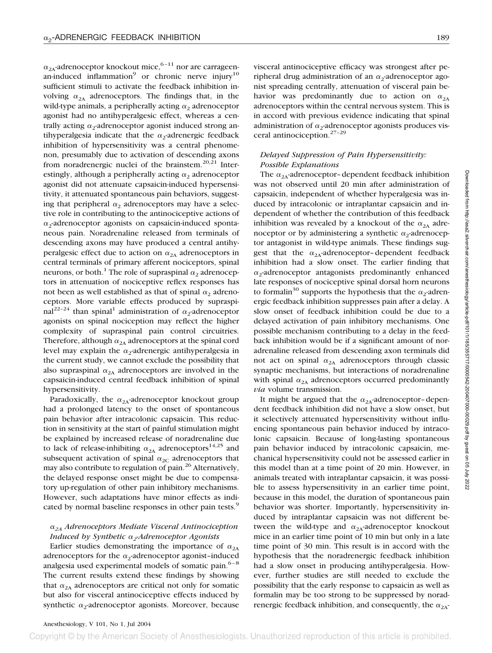$\alpha_{2A}$ -adrenoceptor knockout mice,<sup>6–11</sup> nor are carrageenan-induced inflammation<sup>9</sup> or chronic nerve injury<sup>10</sup> sufficient stimuli to activate the feedback inhibition involving  $\alpha_{2A}$  adrenoceptors. The findings that, in the wild-type animals, a peripherally acting  $\alpha_2$  adrenoceptor agonist had no antihyperalgesic effect, whereas a centrally acting  $\alpha_2$ -adrenoceptor agonist induced strong antihyperalgesia indicate that the  $\alpha_2$ -adrenergic feedback inhibition of hypersensitivity was a central phenomenon, presumably due to activation of descending axons from noradrenergic nuclei of the brainstem.<sup>20,21</sup> Interestingly, although a peripherally acting  $\alpha_2$  adrenoceptor agonist did not attenuate capsaicin-induced hypersensitivity, it attenuated spontaneous pain behaviors, suggesting that peripheral  $\alpha_2$  adrenoceptors may have a selective role in contributing to the antinociceptive actions of  $\alpha$ -adrenoceptor agonists on capsaicin-induced spontaneous pain. Noradrenaline released from terminals of descending axons may have produced a central antihyperalgesic effect due to action on  $\alpha_{2A}$  adrenoceptors in central terminals of primary afferent nociceptors, spinal neurons, or both.<sup>1</sup> The role of supraspinal  $\alpha_2$  adrenoceptors in attenuation of nociceptive reflex responses has not been as well established as that of spinal  $\alpha_2$  adrenoceptors. More variable effects produced by supraspinal<sup>22–24</sup> than spinal<sup>1</sup> administration of  $\alpha_2$ -adrenoceptor agonists on spinal nociception may reflect the higher complexity of supraspinal pain control circuitries. Therefore, although  $\alpha_{2A}$  adrenoceptors at the spinal cord level may explain the  $\alpha_2$ -adrenergic antihyperalgesia in the current study, we cannot exclude the possibility that also supraspinal  $\alpha_{2A}$  adrenoceptors are involved in the capsaicin-induced central feedback inhibition of spinal hypersensitivity.

Paradoxically, the  $\alpha_{2A}$ -adrenoceptor knockout group had a prolonged latency to the onset of spontaneous pain behavior after intracolonic capsaicin. This reduction in sensitivity at the start of painful stimulation might be explained by increased release of noradrenaline due to lack of release-inhibiting  $\alpha_{2A}$  adrenoceptors<sup>14,25</sup> and subsequent activation of spinal  $\alpha_{2C}$  adrenoceptors that may also contribute to regulation of pain.<sup>26</sup> Alternatively, the delayed response onset might be due to compensatory up-regulation of other pain inhibitory mechanisms. However, such adaptations have minor effects as indicated by normal baseline responses in other pain tests.<sup>9</sup>

# *2A Adrenoceptors Mediate Visceral Antinociception Induced by Synthetic 2-Adrenoceptor Agonists*

Earlier studies demonstrating the importance of  $\alpha_{2A}$ adrenoceptors for the  $\alpha_2$ -adrenoceptor agonist-induced analgesia used experimental models of somatic pain. $6-8$ The current results extend these findings by showing that  $\alpha_{2A}$  adrenoceptors are critical not only for somatic but also for visceral antinociceptive effects induced by synthetic  $\alpha_2$ -adrenoceptor agonists. Moreover, because visceral antinociceptive efficacy was strongest after peripheral drug administration of an  $\alpha_2$ -adrenoceptor agonist spreading centrally, attenuation of visceral pain behavior was predominantly due to action on  $\alpha_{2A}$ adrenoceptors within the central nervous system. This is in accord with previous evidence indicating that spinal administration of  $\alpha_2$ -adrenoceptor agonists produces visceral antinociception.27–29

# *Delayed Suppression of Pain Hypersensitivity: Possible Explanations*

The  $\alpha_{2A}$ -adrenoceptor-dependent feedback inhibition was not observed until 20 min after administration of capsaicin, independent of whether hyperalgesia was induced by intracolonic or intraplantar capsaicin and independent of whether the contribution of this feedback inhibition was revealed by a knockout of the  $\alpha_{2A}$  adrenoceptor or by administering a synthetic  $\alpha_2$ -adrenoceptor antagonist in wild-type animals. These findings suggest that the  $\alpha_{2A}$ -adrenoceptor-dependent feedback inhibition had a slow onset. The earlier finding that  $\alpha$ -adrenoceptor antagonists predominantly enhanced late responses of nociceptive spinal dorsal horn neurons to formalin<sup>30</sup> supports the hypothesis that the  $\alpha_2$ -adrenergic feedback inhibition suppresses pain after a delay. A slow onset of feedback inhibition could be due to a delayed activation of pain inhibitory mechanisms. One possible mechanism contributing to a delay in the feedback inhibition would be if a significant amount of noradrenaline released from descending axon terminals did not act on spinal  $\alpha_{2A}$  adrenoceptors through classic synaptic mechanisms, but interactions of noradrenaline with spinal  $\alpha_{2A}$  adrenoceptors occurred predominantly *via* volume transmission.

It might be argued that the  $\alpha_{2A}$ -adrenoceptor-dependent feedback inhibition did not have a slow onset, but it selectively attenuated hypersensitivity without influencing spontaneous pain behavior induced by intracolonic capsaicin. Because of long-lasting spontaneous pain behavior induced by intracolonic capsaicin, mechanical hypersensitivity could not be assessed earlier in this model than at a time point of 20 min. However, in animals treated with intraplantar capsaicin, it was possible to assess hypersensitivity in an earlier time point, because in this model, the duration of spontaneous pain behavior was shorter. Importantly, hypersensitivity induced by intraplantar capsaicin was not different between the wild-type and  $\alpha_{2A}$ -adrenoceptor knockout mice in an earlier time point of 10 min but only in a late time point of 30 min. This result is in accord with the hypothesis that the noradrenergic feedback inhibition had a slow onset in producing antihyperalgesia. However, further studies are still needed to exclude the possibility that the early response to capsaicin as well as formalin may be too strong to be suppressed by noradrenergic feedback inhibition, and consequently, the  $\alpha_{2A}$ -